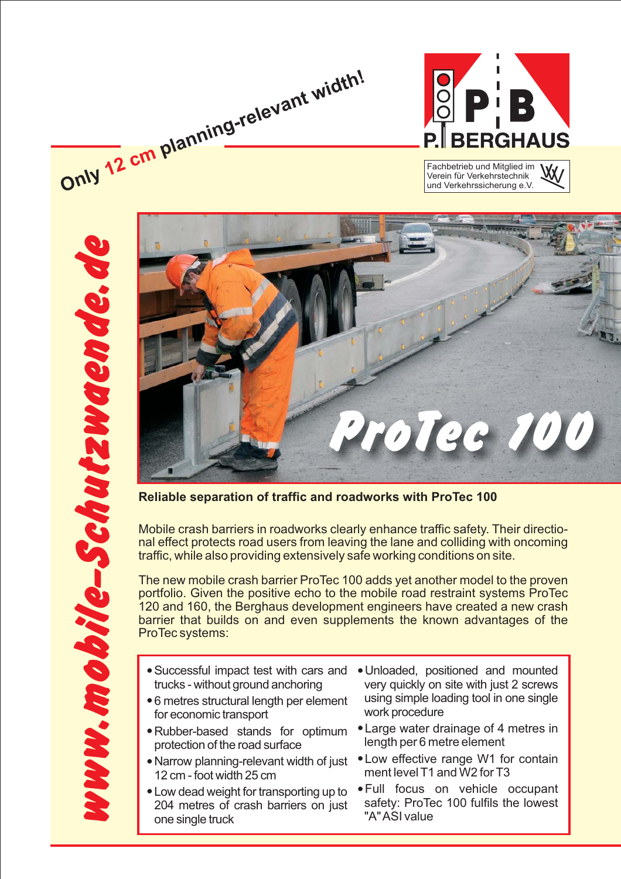

und Verkehrssicherung e.V.





**Reliable separation of traffic and roadworks with ProTec 100**

Mobile crash barriers in roadworks clearly enhance traffic safety. Their directional effect protects road users from leaving the lane and colliding with oncoming traffic, while also providing extensively safe working conditions on site.

The new mobile crash barrier ProTec 100 adds yet another model to the proven portfolio. Given the positive echo to the mobile road restraint systems ProTec 120 and 160, the Berghaus development engineers have created a new crash barrier that builds on and even supplements the known advantages of the ProTec systems:

- Successful impact test with cars and trucks - without ground anchoring

**Only planning-relevant width!**

**12 cm**

- 6 metres structural length per element for economic transport
- Rubber-based stands for optimum protection of the road surface
- .<br>● Narrow planning-relevant width of just 12 cm - foot width 25 cm
- Low dead weight for transporting up to 204 metres of crash barriers on just one single truck
- Unloaded, positioned and mounted very quickly on site with just 2 screws using simple loading tool in one single work procedure
- Large water drainage of 4 metres in length per 6 metre element
- Low effective range W1 for contain ment level T1 and W2 for T3
- Full focus on vehicle occupant safety: ProTec 100 fulfils the lowest "A"ASI value